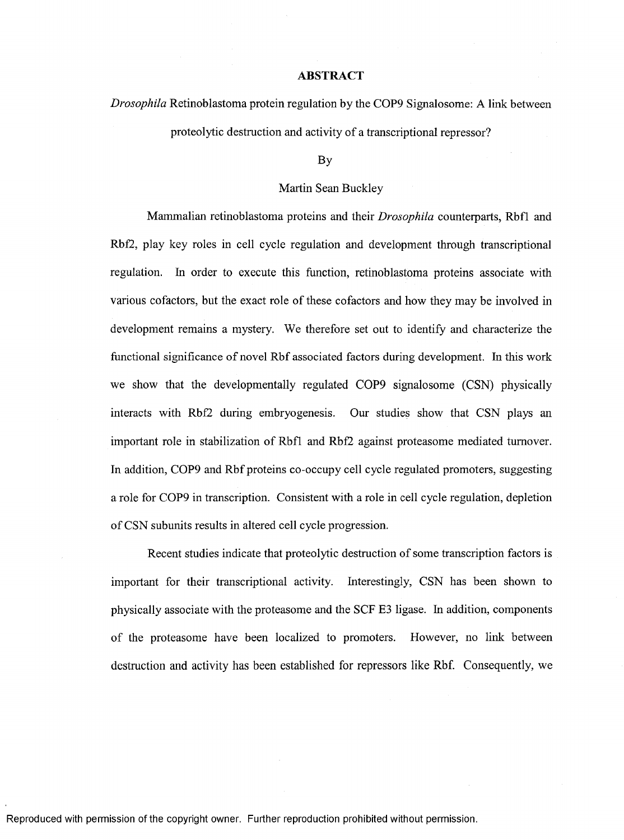## **ABSTRACT**

*Drosophila* Retinoblastoma protein regulation by the COP9 Signalosome: A link between

proteolytic destruction and activity of a transcriptional repressor?

## By

## Martin Sean Buckley

Mammalian retinoblastoma proteins and their *Drosophila* counterparts, Rbfl and Rbf2, play key roles in cell cycle regulation and development through transcriptional regulation. In order to execute this function, retinoblastoma proteins associate with various cofactors, but the exact role of these cofactors and how they may be involved in development remains a mystery. We therefore set out to identify and characterize the functional significance of novel Rbf associated factors during development. In this work we show that the developmentally regulated COP9 signalosome (CSN) physically interacts with Rbf2 during embryogenesis. Our studies show that CSN plays an important role in stabilization of Rbfl and Rbf2 against proteasome mediated turnover. In addition, COP9 and Rbf proteins co-occupy cell cycle regulated promoters, suggesting a role for COP9 in transcription. Consistent with a role in cell cycle regulation, depletion of CSN subunits results in altered cell cycle progression.

Recent studies indicate that proteolytic destruction of some transcription factors is important for their transcriptional activity. Interestingly, CSN has been shown to physically associate with the proteasome and the SCF E3 ligase. In addition, components of the proteasome have been localized to promoters. However, no link between destruction and activity has been established for repressors like Rbf. Consequently, we